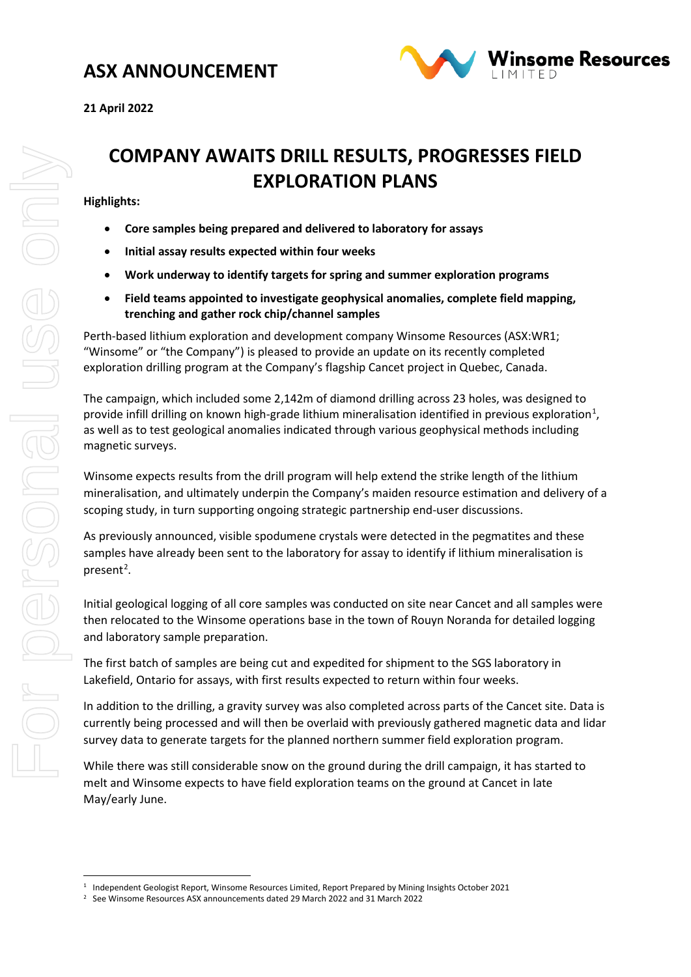### **ASX ANNOUNCEMENT**



# **COMPANY AWAITS DRILL RESULTS, PROGRESSES FIELD EXPLORATION PLANS**

### **Highlights:**

- **Core samples being prepared and delivered to laboratory for assays**
- **Initial assay results expected within four weeks**
- **Work underway to identify targets for spring and summer exploration programs**
- **Field teams appointed to investigate geophysical anomalies, complete field mapping, trenching and gather rock chip/channel samples**

Perth-based lithium exploration and development company Winsome Resources (ASX:WR1; "Winsome" or "the Company") is pleased to provide an update on its recently completed exploration drilling program at the Company's flagship Cancet project in Quebec, Canada.

The campaign, which included some 2,142m of diamond drilling across 23 holes, was designed to provide infill drilling on known high-grade lithium mineralisation identified in previous exploration<sup>[1](#page-0-0)</sup>, as well as to test geological anomalies indicated through various geophysical methods including magnetic surveys.

Winsome expects results from the drill program will help extend the strike length of the lithium mineralisation, and ultimately underpin the Company's maiden resource estimation and delivery of a scoping study, in turn supporting ongoing strategic partnership end-user discussions.

As previously announced, visible spodumene crystals were detected in the pegmatites and these samples have already been sent to the laboratory for assay to identify if lithium mineralisation is present<sup>[2](#page-0-1)</sup>.

Initial geological logging of all core samples was conducted on site near Cancet and all samples were then relocated to the Winsome operations base in the town of Rouyn Noranda for detailed logging and laboratory sample preparation.

The first batch of samples are being cut and expedited for shipment to the SGS laboratory in Lakefield, Ontario for assays, with first results expected to return within four weeks.

In addition to the drilling, a gravity survey was also completed across parts of the Cancet site. Data is currently being processed and will then be overlaid with previously gathered magnetic data and lidar survey data to generate targets for the planned northern summer field exploration program.

While there was still considerable snow on the ground during the drill campaign, it has started to melt and Winsome expects to have field exploration teams on the ground at Cancet in late May/early June.

<span id="page-0-0"></span><sup>1</sup> Independent Geologist Report, Winsome Resources Limited, Report Prepared by Mining Insights October 2021

<span id="page-0-1"></span><sup>2</sup> See Winsome Resources ASX announcements dated 29 March 2022 and 31 March 2022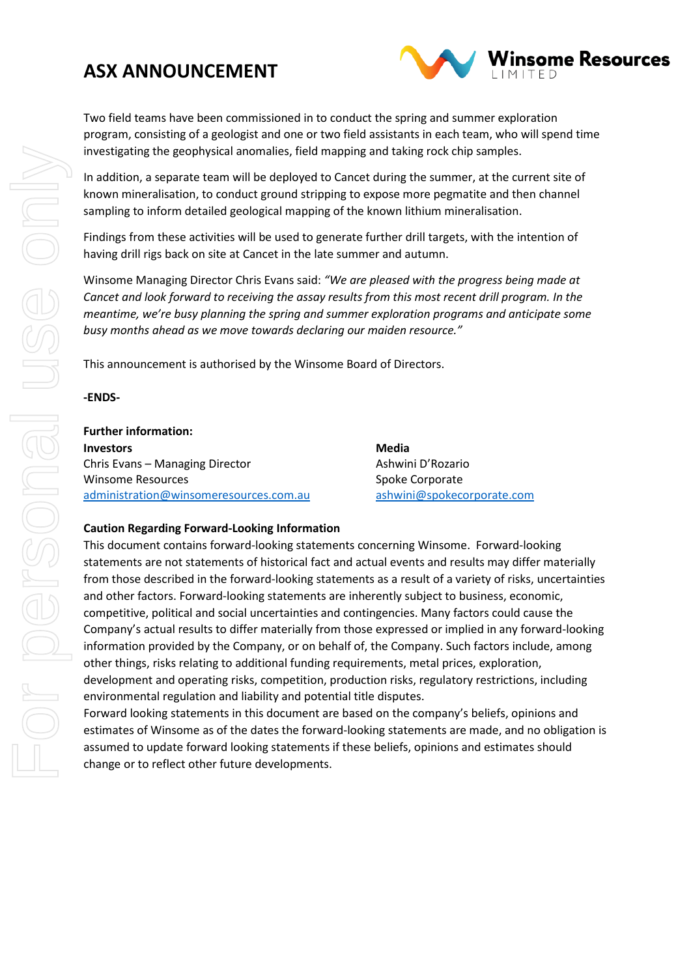### **ASX ANNOUNCEMENT**



Two field teams have been commissioned in to conduct the spring and summer exploration program, consisting of a geologist and one or two field assistants in each team, who will spend time investigating the geophysical anomalies, field mapping and taking rock chip samples.

In addition, a separate team will be deployed to Cancet during the summer, at the current site of known mineralisation, to conduct ground stripping to expose more pegmatite and then channel sampling to inform detailed geological mapping of the known lithium mineralisation.

Findings from these activities will be used to generate further drill targets, with the intention of having drill rigs back on site at Cancet in the late summer and autumn.

Winsome Managing Director Chris Evans said: *"We are pleased with the progress being made at Cancet and look forward to receiving the assay results from this most recent drill program. In the meantime, we're busy planning the spring and summer exploration programs and anticipate some busy months ahead as we move towards declaring our maiden resource."* 

This announcement is authorised by the Winsome Board of Directors.

**-ENDS-**

| <b>Further information:</b>            |                            |
|----------------------------------------|----------------------------|
| <b>Investors</b>                       | Media                      |
| Chris Evans - Managing Director        | Ashwini D'Rozario          |
| <b>Winsome Resources</b>               | Spoke Corporate            |
| administration@winsomeresources.com.au | ashwini@spokecorporate.com |

### **Caution Regarding Forward-Looking Information**

This document contains forward-looking statements concerning Winsome. Forward-looking statements are not statements of historical fact and actual events and results may differ materially from those described in the forward-looking statements as a result of a variety of risks, uncertainties and other factors. Forward-looking statements are inherently subject to business, economic, competitive, political and social uncertainties and contingencies. Many factors could cause the Company's actual results to differ materially from those expressed or implied in any forward-looking information provided by the Company, or on behalf of, the Company. Such factors include, among other things, risks relating to additional funding requirements, metal prices, exploration, development and operating risks, competition, production risks, regulatory restrictions, including environmental regulation and liability and potential title disputes.

Forward looking statements in this document are based on the company's beliefs, opinions and estimates of Winsome as of the dates the forward-looking statements are made, and no obligation is assumed to update forward looking statements if these beliefs, opinions and estimates should change or to reflect other future developments.